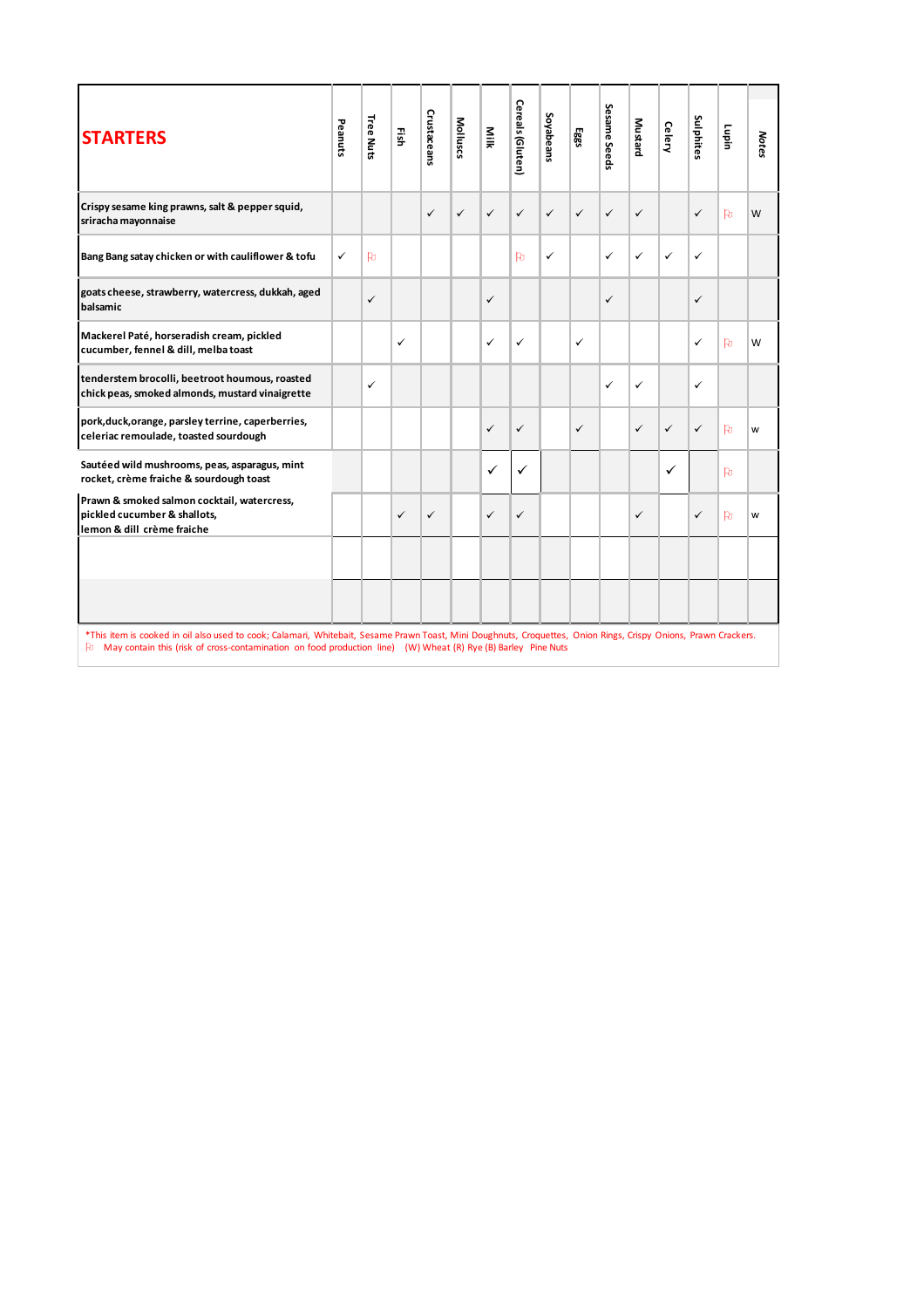| <b>STARTERS</b>                                                                                                                                                 | Peanuts      | Tree Nuts    | Ηğ,          | Crustaceans  | Molluscs     | Nilk         | Cereals (Gluten) | Soyabeans    | 585          | Sesame Seeds | Mustard      | <b>Celery</b> | Sulphites    | Lupin        | Notes |
|-----------------------------------------------------------------------------------------------------------------------------------------------------------------|--------------|--------------|--------------|--------------|--------------|--------------|------------------|--------------|--------------|--------------|--------------|---------------|--------------|--------------|-------|
| Crispy sesame king prawns, salt & pepper squid,<br>sriracha mayonnaise                                                                                          |              |              |              | $\checkmark$ | $\checkmark$ | $\checkmark$ | $\checkmark$     | $\checkmark$ | $\checkmark$ | $\checkmark$ | $\checkmark$ |               | ✓            | <b>Po</b>    | W     |
| Bang Bang satay chicken or with cauliflower & tofu                                                                                                              | $\checkmark$ | $\mathbf{p}$ |              |              |              |              | <b>Pu</b>        | ✓            |              | $\checkmark$ | $\checkmark$ | ✓             | ✓            |              |       |
| goats cheese, strawberry, watercress, dukkah, aged<br>balsamic                                                                                                  |              | $\checkmark$ |              |              |              | ✓            |                  |              |              | $\checkmark$ |              |               | ✓            |              |       |
| Mackerel Paté, horseradish cream, pickled<br>cucumber, fennel & dill, melba toast                                                                               |              |              | $\checkmark$ |              |              | ✓            | $\checkmark$     |              | ✓            |              |              |               | ✓            | <b>Po</b>    | W     |
| tenderstem brocolli, beetroot houmous, roasted<br>chick peas, smoked almonds, mustard vinaigrette                                                               |              | $\checkmark$ |              |              |              |              |                  |              |              | $\checkmark$ | $\checkmark$ |               | ✓            |              |       |
| pork, duck, orange, parsley terrine, caperberries,<br>celeriac remoulade, toasted sourdough                                                                     |              |              |              |              |              | $\checkmark$ | $\checkmark$     |              | $\checkmark$ |              | $\checkmark$ | ✓             | $\checkmark$ | <b>Po</b>    | W     |
| Sautéed wild mushrooms, peas, asparagus, mint<br>rocket, crème fraiche & sourdough toast                                                                        |              |              |              |              |              | $\checkmark$ | $\checkmark$     |              |              |              |              | ✓             |              | Þ            |       |
| Prawn & smoked salmon cocktail, watercress,<br>pickled cucumber & shallots,<br>lemon & dill crème fraiche                                                       |              |              | $\checkmark$ | $\checkmark$ |              | $\checkmark$ | $\checkmark$     |              |              |              | $\checkmark$ |               | ✓            | $\mathbf{p}$ | W     |
|                                                                                                                                                                 |              |              |              |              |              |              |                  |              |              |              |              |               |              |              |       |
| *This item is cooked in oil also used to cook; Calamari, Whitebait, Sesame Prawn Toast, Mini Doughnuts, Croquettes, Onion Rings, Crispy Onions, Prawn Crackers. |              |              |              |              |              |              |                  |              |              |              |              |               |              |              |       |
| Po.<br>May contain this (risk of cross-contamination on food production line) (W) Wheat (R) Rye (B) Barley Pine Nuts                                            |              |              |              |              |              |              |                  |              |              |              |              |               |              |              |       |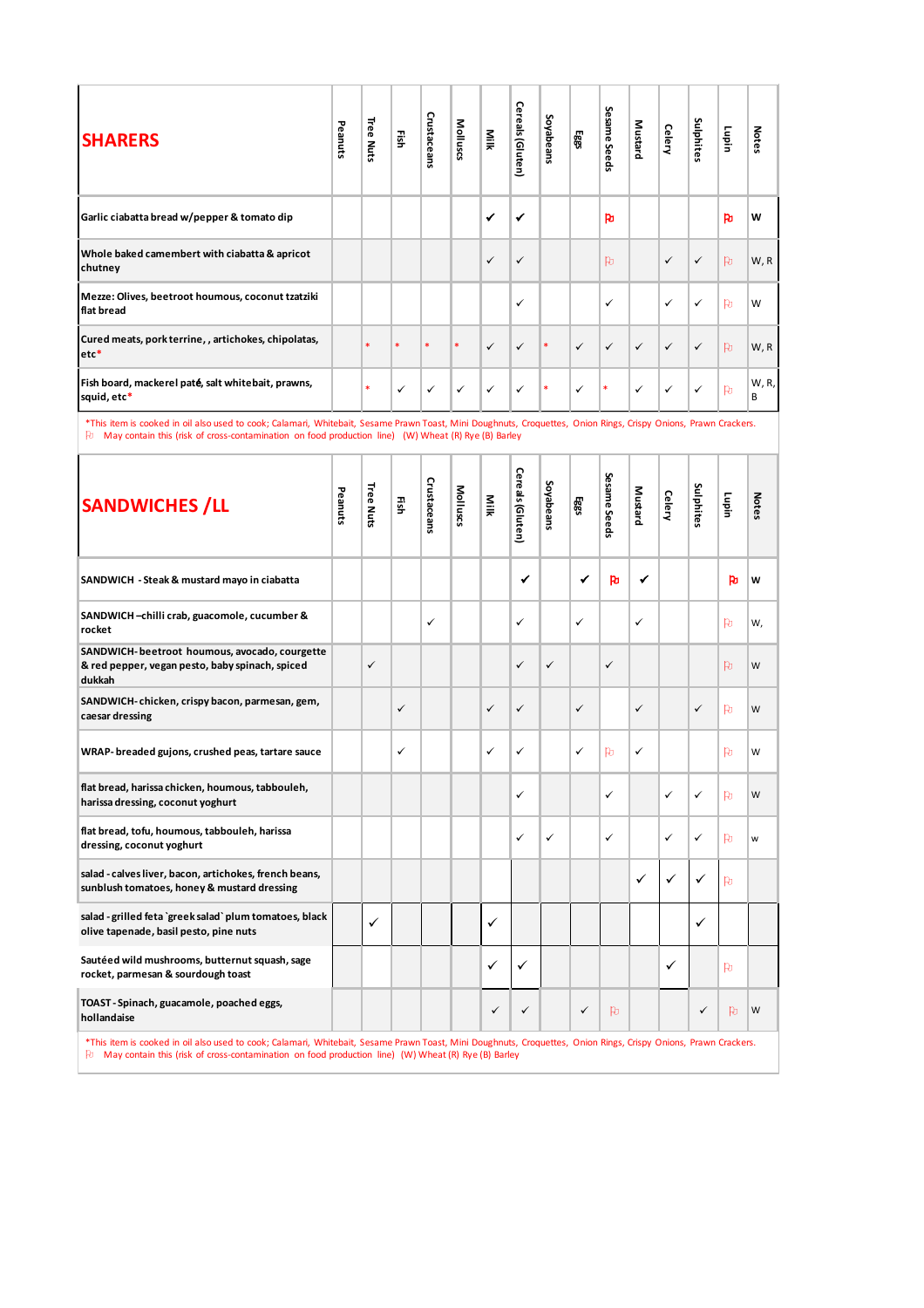| <b>SHARERS</b>                                                    | Peanuts                                                                                                                                                                                                                                                                | <b>Tree Nuts</b> | 굛      | Crustaceans | Molluscs | Milk         | Cereals (Gluten) | Soyabeans | 589          | Sesame Seeds | <b>Mustard</b> | Celery        | Sulphites    | Luiqin       | <b>Notes</b> |
|-------------------------------------------------------------------|------------------------------------------------------------------------------------------------------------------------------------------------------------------------------------------------------------------------------------------------------------------------|------------------|--------|-------------|----------|--------------|------------------|-----------|--------------|--------------|----------------|---------------|--------------|--------------|--------------|
| Garlic ciabatta bread w/pepper & tomato dip                       |                                                                                                                                                                                                                                                                        |                  |        |             |          | $\checkmark$ | ✔                |           |              | Þ            |                |               |              | h            | W            |
| Whole baked camembert with ciabatta & apricot<br>chutney          |                                                                                                                                                                                                                                                                        |                  |        |             |          | $\checkmark$ | ✓                |           |              | Þ.           |                | $\checkmark$  | $\checkmark$ | $\mathbf{p}$ | W, R         |
| Mezze: Olives, beetroot houmous, coconut tzatziki<br>flat bread   |                                                                                                                                                                                                                                                                        |                  |        |             |          |              | ✓                |           |              | ✓            |                | $\checkmark$  | ✓            | Þ            | W            |
| Cured meats, pork terrine, , artichokes, chipolatas,<br>$etc*$    |                                                                                                                                                                                                                                                                        | $\ast$           | $\ast$ | $\ast$      | $\ast$   | $\checkmark$ | ✓                | $\ast$    | $\checkmark$ | $\checkmark$ | $\checkmark$   | $\checkmark$  | ✓            | $\mathbf{p}$ | W, R         |
| Fish board, mackerel paté, salt whitebait, prawns,<br>squid, etc* |                                                                                                                                                                                                                                                                        | $\ast$           | ✓      | ✓           | ✓        | ✓            | ✓                | $\ast$    | $\checkmark$ | *            | ✓              | ✓             | ✓            | $\mathbf{p}$ | W, R,<br>B   |
| Pu.                                                               | *This item is cooked in oil also used to cook; Calamari, Whitebait, Sesame Prawn Toast, Mini Doughnuts, Croquettes, Onion Rings, Crispy Onions, Prawn Crackers.<br>May contain this (risk of cross-contamination on food production line) (W) Wheat (R) Rye (B) Barley |                  |        |             |          |              |                  |           |              |              |                |               |              |              |              |
| <b>SANDWICHES / LL</b>                                            | Peanuts                                                                                                                                                                                                                                                                | Tree Nuts        | 굛      | Crustaceans | Mollusc  | Milk         | Cereals (Gluten  | Soyabeans | 585          | Sesame Seeds | Mustard        | <b>Celery</b> | Sulphites    | Lupin        | <b>Notes</b> |

| <b>SHARERS</b>                                                                                                                                                                                                                                                                | Peanuts | Tree Nuts | 픏  | Crustaceans | Molluscs | Milk         | ereals (Gluten)  | Soyabeans    | 5883         | Sesame Seeds | Mustard      | Celery        | Sulphites    | Lupin | <b>Notes</b> |
|-------------------------------------------------------------------------------------------------------------------------------------------------------------------------------------------------------------------------------------------------------------------------------|---------|-----------|----|-------------|----------|--------------|------------------|--------------|--------------|--------------|--------------|---------------|--------------|-------|--------------|
| Garlic ciabatta bread w/pepper & tomato dip                                                                                                                                                                                                                                   |         |           |    |             |          | ✔            | ✔                |              |              | Þ            |              |               |              | Þ     | W            |
| Whole baked camembert with ciabatta & apricot<br>chutney                                                                                                                                                                                                                      |         |           |    |             |          | $\checkmark$ | $\checkmark$     |              |              | Þ            |              | ✓             | ✓            | Þ     | W, R         |
| Mezze: Olives, beetroot houmous, coconut tzatziki<br>flat bread                                                                                                                                                                                                               |         |           |    |             |          |              | ✓                |              |              | ✓            |              | ✓             | ✓            | Þ     | W            |
| Cured meats, pork terrine, , artichokes, chipolatas,<br>$etc*$                                                                                                                                                                                                                |         | ×         | *  | *           | *        | $\checkmark$ | ✓                | *            | $\checkmark$ | ✓            | $\checkmark$ | ✓             | $\checkmark$ | Þ     | W, R         |
| Fish board, mackerel paté, salt whitebait, prawns,<br>squid, etc*                                                                                                                                                                                                             |         | *         | ✓  | ✓           | ✓        | ✓            | ✓                | *            | ✓            | *            | ✓            | ✓             | ✓            | Þ     | W, R,<br>B   |
| *This item is cooked in oil also used to cook; Calamari, Whitebait, Sesame Prawn Toast, Mini Doughnuts, Croquettes, Onion Rings, Crispy Onions, Prawn Crackers.<br>$\Box$ May contain this (risk of cross-contamination on food production line) (W) Wheat (R) Rye (B) Barley |         |           |    |             |          |              |                  |              |              |              |              |               |              |       |              |
| <b>SANDWICHES / LL</b>                                                                                                                                                                                                                                                        | Peanuts | Tree Nuts | ΕĨ | Crustaceans | Molluscs | Milk         | Cereals (Gluten) | Soyabeans    | 585          | Sesame Seeds | Mustard      | <b>Celery</b> | Sulphites    | Lupin | <b>Notes</b> |
| SANDWICH - Steak & mustard mayo in ciabatta                                                                                                                                                                                                                                   |         |           |    |             |          |              | ✔                |              | ✔            | Po           | ✔            |               |              | Þ     | W            |
| SANDWICH-chilli crab, guacomole, cucumber &<br>rocket                                                                                                                                                                                                                         |         |           |    | ✓           |          |              | ✓                |              | ✓            |              | ✓            |               |              | Þ     | W,           |
| SANDWICH- beetroot houmous, avocado, courgette<br>& red pepper, vegan pesto, baby spinach, spiced<br>dukkah                                                                                                                                                                   |         | ✓         |    |             |          |              | ✓                | $\checkmark$ |              | ✓            |              |               |              | Þ     | W            |
| SANDWICH-chicken, crispy bacon, parmesan, gem,<br>caesar dressing                                                                                                                                                                                                             |         |           | ✓  |             |          | ✓            | $\checkmark$     |              | ✓            |              | ✓            |               | $\checkmark$ | Þ     | W            |
| WRAP-breaded gujons, crushed peas, tartare sauce                                                                                                                                                                                                                              |         |           | ✓  |             |          | ✓            | ✓                |              | ✓            | Þ            | ✓            |               |              | Þ     | W            |
| flat bread, harissa chicken, houmous, tabbouleh,<br>harissa dressing, coconut yoghurt                                                                                                                                                                                         |         |           |    |             |          |              | ✓                |              |              | ✓            |              | ✓             | ✓            | Þ     | W            |
| flat bread, tofu, houmous, tabbouleh, harissa<br>dressing, coconut yoghurt                                                                                                                                                                                                    |         |           |    |             |          |              | ✓                | ✓            |              | ✓            |              | ✓             | ✓            | Þ     | W            |
| salad - calves liver, bacon, artichokes, french beans,<br>sunblush tomatoes, honey & mustard dressing                                                                                                                                                                         |         |           |    |             |          |              |                  |              |              |              | ✓            | ✓             | ✓            | Þ     |              |
| salad - grilled feta 'greek salad' plum tomatoes, black<br>olive tapenade, basil pesto, pine nuts                                                                                                                                                                             |         | ✓         |    |             |          | ✓            |                  |              |              |              |              |               | ✓            |       |              |
| Sautéed wild mushrooms, butternut squash, sage<br>rocket, parmesan & sourdough toast                                                                                                                                                                                          |         |           |    |             |          | ✓            | ✓                |              |              |              |              | ✓             |              | Po.   |              |
| TOAST - Spinach, guacamole, poached eggs,<br>hollandaise                                                                                                                                                                                                                      |         |           |    |             |          | $\checkmark$ | ✓                |              | ✓            | Þ            |              |               | ✓            | Þ     | W            |
|                                                                                                                                                                                                                                                                               |         |           |    |             |          |              |                  |              |              |              |              |               |              |       |              |

\*This item is cooked in oil also used to cook; Calamari, Whitebait, Sesame Prawn Toast, Mini Doughnuts, Croquettes, Onion Rings, Crispy Onions, Prawn Crackers.<br>和 May contain this (risk of cross-contamination on food prod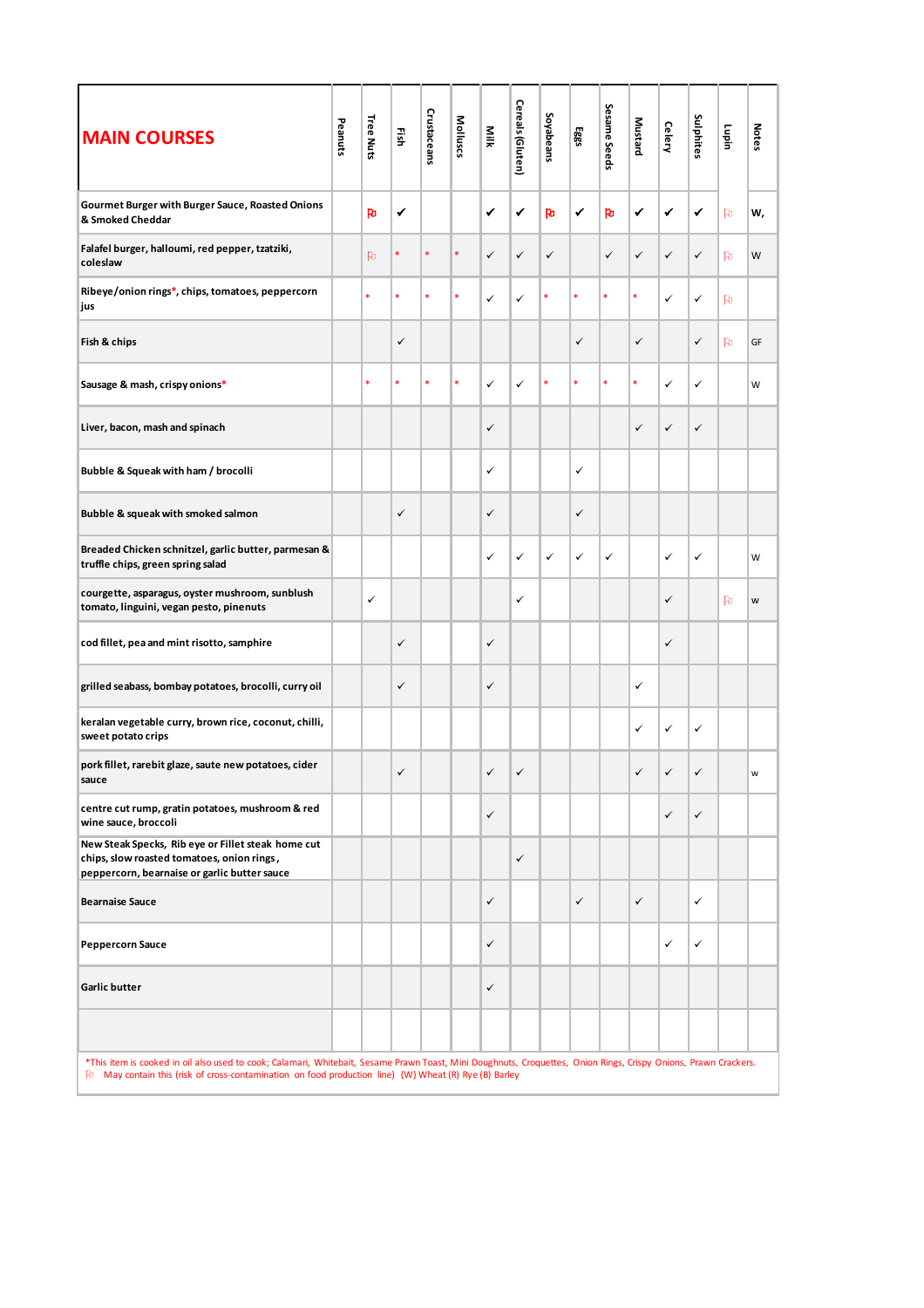| <b>MAIN COURSES</b>                                                                                                                                                                                                                                                        | Peanuts | Tree Nuts | Ηğ           | Crustaceans | Molluscs | Milk | Cereals (Gluten) | Soyabeans | Eggs         | Sesame Seeds | <b>Mustard</b> | <b>Celery</b> | Sulphites    | Lupin          | <b>Notes</b> |
|----------------------------------------------------------------------------------------------------------------------------------------------------------------------------------------------------------------------------------------------------------------------------|---------|-----------|--------------|-------------|----------|------|------------------|-----------|--------------|--------------|----------------|---------------|--------------|----------------|--------------|
| Gourmet Burger with Burger Sauce, Roasted Onions<br>& Smoked Cheddar                                                                                                                                                                                                       |         | Po        | ✔            |             |          | ✔    | ✔                | Þ         | ✔            | Þ            | ✔              | $\checkmark$  | ✔            | $\mathsf{p}_1$ | w,           |
| Falafel burger, halloumi, red pepper, tzatziki,<br>coleslaw                                                                                                                                                                                                                |         | <b>P</b>  | *            |             | *        | ✓    | $\checkmark$     | ✓         |              | ✓            | ✓              | ✓             | $\checkmark$ | $\mathsf{p}_0$ | W            |
| Ribeye/onion rings*, chips, tomatoes, peppercorn<br>jus                                                                                                                                                                                                                    |         | *         | ×            | *           | *        | ✓    | ✓                | *         | *            | *            | $\ast$         | ✓             | $\checkmark$ | $\mathsf{p}_1$ |              |
| Fish & chips                                                                                                                                                                                                                                                               |         |           | ✓            |             |          |      |                  |           | $\checkmark$ |              | ✓              |               | $\checkmark$ | $\mathsf{p}_1$ | GF           |
| Sausage & mash, crispy onions*                                                                                                                                                                                                                                             |         | *         | ×            |             |          | ✓    | ✓                |           | *            | ×            | ×              | ✓             | ✓            |                | W            |
| Liver, bacon, mash and spinach                                                                                                                                                                                                                                             |         |           |              |             |          | ✓    |                  |           |              |              | ✓              | $\checkmark$  | $\checkmark$ |                |              |
| Bubble & Squeak with ham / brocolli                                                                                                                                                                                                                                        |         |           |              |             |          | ✓    |                  |           | $\checkmark$ |              |                |               |              |                |              |
| Bubble & squeak with smoked salmon                                                                                                                                                                                                                                         |         |           | $\checkmark$ |             |          | ✓    |                  |           | $\checkmark$ |              |                |               |              |                |              |
| Breaded Chicken schnitzel, garlic butter, parmesan &<br>truffle chips, green spring salad                                                                                                                                                                                  |         |           |              |             |          | ✓    | $\checkmark$     | ✓         | ✓            | ✓            |                | ✓             | $\checkmark$ |                | W            |
| courgette, asparagus, oyster mushroom, sunblush<br>tomato, linguini, vegan pesto, pinenuts                                                                                                                                                                                 |         | ✓         |              |             |          |      | $\checkmark$     |           |              |              |                | ✓             |              | P              | W            |
| cod fillet, pea and mint risotto, samphire                                                                                                                                                                                                                                 |         |           | $\checkmark$ |             |          | ✓    |                  |           |              |              |                | ✓             |              |                |              |
| grilled seabass, bombay potatoes, brocolli, curry oil                                                                                                                                                                                                                      |         |           | ✓            |             |          | ✓    |                  |           |              |              | $\checkmark$   |               |              |                |              |
| keralan vegetable curry, brown rice, coconut, chilli,<br>sweet potato crips                                                                                                                                                                                                |         |           |              |             |          |      |                  |           |              |              | ✓              | ✓             | $\checkmark$ |                |              |
| pork fillet, rarebit glaze, saute new potatoes, cider<br>sauce                                                                                                                                                                                                             |         |           | ✓            |             |          | ✓    | $\checkmark$     |           |              |              | ✓              | $\checkmark$  | ✓            |                | W            |
| centre cut rump, gratin potatoes, mushroom & red<br>wine sauce, broccoli                                                                                                                                                                                                   |         |           |              |             |          | ✓    |                  |           |              |              |                | $\checkmark$  | $\checkmark$ |                |              |
| New Steak Specks, Rib eye or Fillet steak home cut<br>chips, slow roasted tomatoes, onion rings,<br>peppercorn, bearnaise or garlic butter sauce                                                                                                                           |         |           |              |             |          |      | $\checkmark$     |           |              |              |                |               |              |                |              |
| <b>Bearnaise Sauce</b>                                                                                                                                                                                                                                                     |         |           |              |             |          | ✓    |                  |           | $\checkmark$ |              | $\checkmark$   |               | $\checkmark$ |                |              |
| <b>Peppercorn Sauce</b>                                                                                                                                                                                                                                                    |         |           |              |             |          | ✓    |                  |           |              |              |                | ✓             | $\checkmark$ |                |              |
| Garlic butter                                                                                                                                                                                                                                                              |         |           |              |             |          | ✓    |                  |           |              |              |                |               |              |                |              |
|                                                                                                                                                                                                                                                                            |         |           |              |             |          |      |                  |           |              |              |                |               |              |                |              |
| *This item is cooked in oil also used to cook; Calamari, Whitebait, Sesame Prawn Toast, Mini Doughnuts, Croquettes, Onion Rings, Crispy Onions, Prawn Crackers.<br>[2] May contain this (risk of cross-contamination on food production line) (W) Wheat (R) Rye (B) Barley |         |           |              |             |          |      |                  |           |              |              |                |               |              |                |              |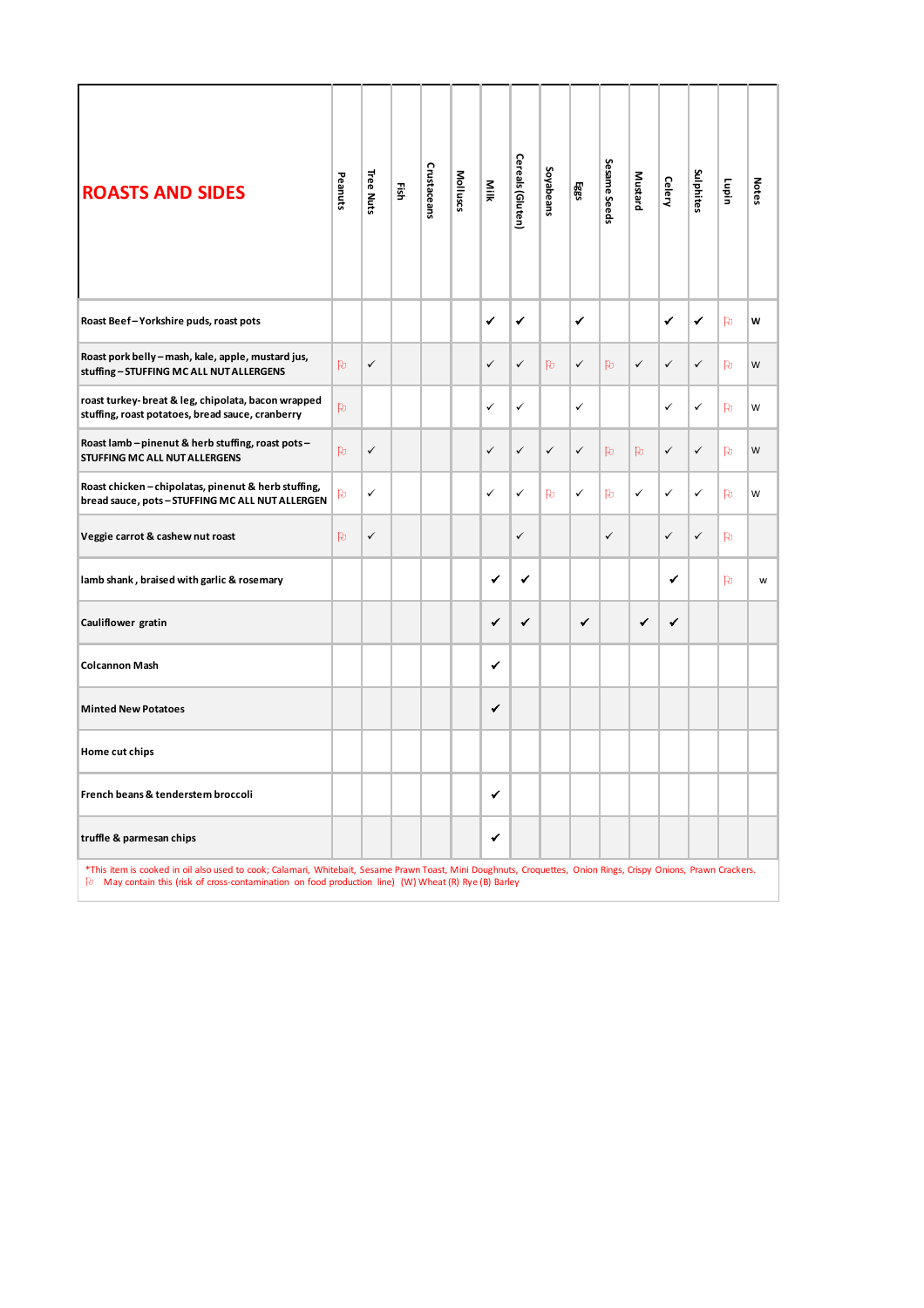| <b>ROASTS AND SIDES</b>                                                                                                                                                                                                                                                | Peanuts | Tree Nuts    | 픭 | Crustaceans | Molluscs | Milk         | Cereals (Gluten) | Soyabeans    | Egg3         | Sesame Seeds | <b>Mustard</b> | <b>Celery</b> | Sulphites    | Lupin          | <b>Notes</b> |
|------------------------------------------------------------------------------------------------------------------------------------------------------------------------------------------------------------------------------------------------------------------------|---------|--------------|---|-------------|----------|--------------|------------------|--------------|--------------|--------------|----------------|---------------|--------------|----------------|--------------|
| Roast Beef-Yorkshire puds, roast pots                                                                                                                                                                                                                                  |         |              |   |             |          | ✔            | ✔                |              | ✔            |              |                | ✔             | ✔            | Þ              | W            |
| Roast pork belly - mash, kale, apple, mustard jus,<br>stuffing-STUFFING MC ALL NUT ALLERGENS                                                                                                                                                                           | Þ       | $\checkmark$ |   |             |          | $\checkmark$ | $\checkmark$     | P            | $\checkmark$ | Þ            | $\checkmark$   | ✓             | $\checkmark$ | Þ              | W            |
| roast turkey- breat & leg, chipolata, bacon wrapped<br>stuffing, roast potatoes, bread sauce, cranberry                                                                                                                                                                | Þ       |              |   |             |          | ✓            | ✓                |              | ✓            |              |                | ✓             | ✓            | $\mathsf{p}_1$ | W            |
| Roast lamb - pinenut & herb stuffing, roast pots -<br>STUFFING MC ALL NUT ALLERGENS                                                                                                                                                                                    | Þ       | $\checkmark$ |   |             |          | $\checkmark$ | ✓                | $\checkmark$ | $\checkmark$ | Þ.           | Þ              | ✓             | $\checkmark$ | $\mathsf{p}_1$ | W            |
| Roast chicken-chipolatas, pinenut & herb stuffing,<br>bread sauce, pots-STUFFING MC ALL NUT ALLERGEN                                                                                                                                                                   | Þ       | $\checkmark$ |   |             |          | ✓            | ✓                | <b>Pu</b>    | $\checkmark$ | Þ            | ✓              | $\checkmark$  | ✓            | <b>P</b>       | W            |
| Veggie carrot & cashew nut roast                                                                                                                                                                                                                                       | Þ       | $\checkmark$ |   |             |          |              | ✓                |              |              | $\checkmark$ |                | $\checkmark$  | $\checkmark$ | <b>P</b>       |              |
| lamb shank, braised with garlic & rosemary                                                                                                                                                                                                                             |         |              |   |             |          | ✔            | ✔                |              |              |              |                | ✔             |              | <b>P</b>       | W            |
| Cauliflower gratin                                                                                                                                                                                                                                                     |         |              |   |             |          | ✔            | ✔                |              | ✔            |              | ✔              | ✔             |              |                |              |
| <b>Colcannon Mash</b>                                                                                                                                                                                                                                                  |         |              |   |             |          | ✔            |                  |              |              |              |                |               |              |                |              |
| <b>Minted New Potatoes</b>                                                                                                                                                                                                                                             |         |              |   |             |          | ✔            |                  |              |              |              |                |               |              |                |              |
| Home cut chips                                                                                                                                                                                                                                                         |         |              |   |             |          |              |                  |              |              |              |                |               |              |                |              |
| French beans & tenderstem broccoli                                                                                                                                                                                                                                     |         |              |   |             |          | ✔            |                  |              |              |              |                |               |              |                |              |
| truffle & parmesan chips                                                                                                                                                                                                                                               |         |              |   |             |          | ✔            |                  |              |              |              |                |               |              |                |              |
| *This item is cooked in oil also used to cook; Calamari, Whitebait, Sesame Prawn Toast, Mini Doughnuts, Croquettes, Onion Rings, Crispy Onions, Prawn Crackers.<br>May contain this (risk of cross-contamination on food production line) (W) Wheat (R) Rye (B) Barley |         |              |   |             |          |              |                  |              |              |              |                |               |              |                |              |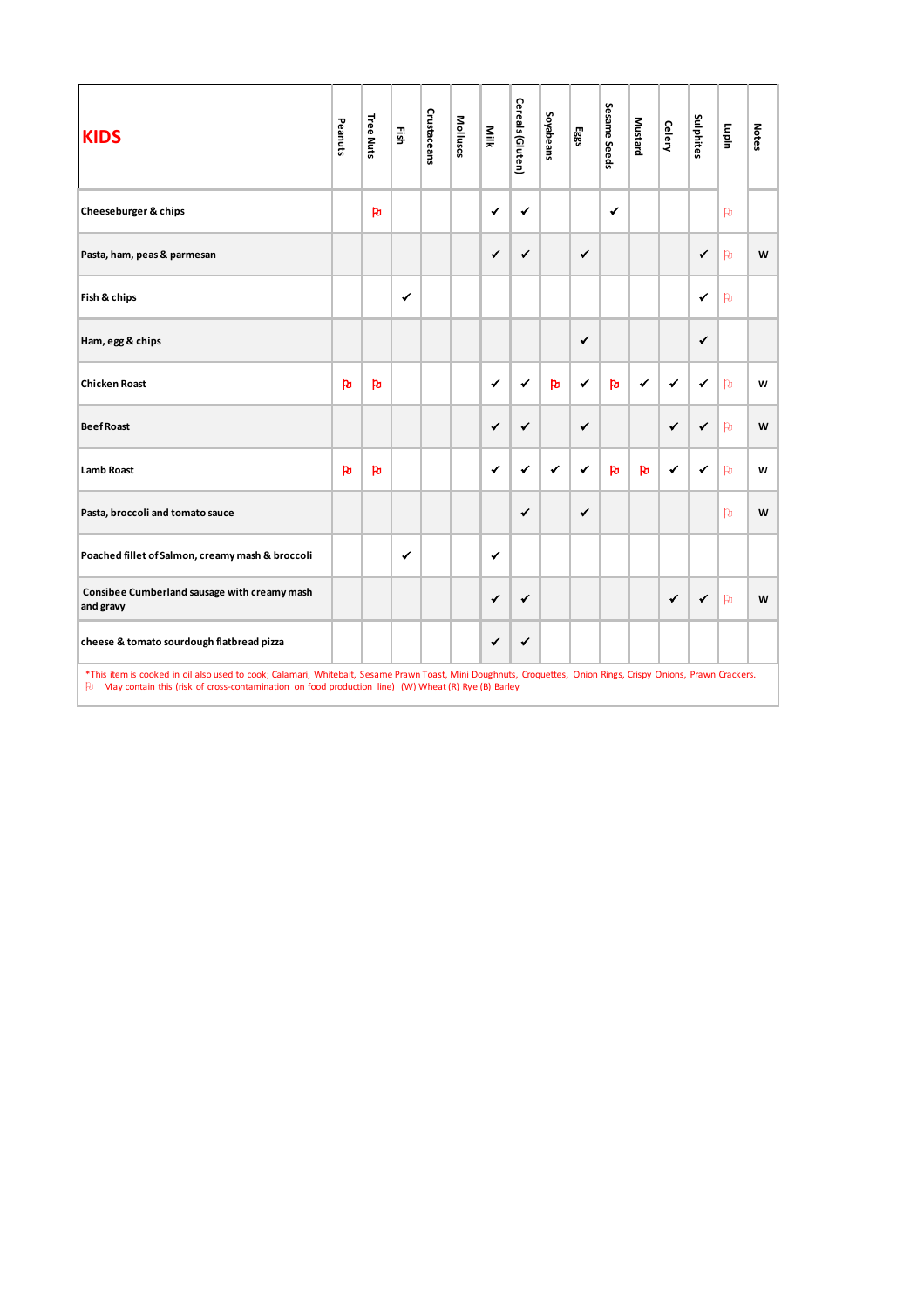| <b>KIDS</b>                                                                                                                                                                                                                                                               | Peanuts    | Tree Nuts | ΕĨsh         | Crustaceans | Molluscs | Milk         | Cereals (Gluten) | Soyabeans | Eggs         | Sesame Seeds | Mustard | <b>Celery</b> | Sulphites    | Lupin     | <b>Notes</b> |
|---------------------------------------------------------------------------------------------------------------------------------------------------------------------------------------------------------------------------------------------------------------------------|------------|-----------|--------------|-------------|----------|--------------|------------------|-----------|--------------|--------------|---------|---------------|--------------|-----------|--------------|
| Cheeseburger & chips                                                                                                                                                                                                                                                      |            | <b>R</b>  |              |             |          | ✔            | ✔                |           |              | ✔            |         |               |              | <b>P</b>  |              |
| Pasta, ham, peas & parmesan                                                                                                                                                                                                                                               |            |           |              |             |          | $\checkmark$ | $\checkmark$     |           | ✓            |              |         |               | $\checkmark$ | <b>P</b>  | W            |
| Fish & chips                                                                                                                                                                                                                                                              |            |           | $\checkmark$ |             |          |              |                  |           |              |              |         |               | $\checkmark$ | <b>Po</b> |              |
| Ham, egg & chips                                                                                                                                                                                                                                                          |            |           |              |             |          |              |                  |           | $\checkmark$ |              |         |               | $\checkmark$ |           |              |
| <b>Chicken Roast</b>                                                                                                                                                                                                                                                      | <b>P</b> b | <b>P</b>  |              |             |          | $\checkmark$ | ✔                | <b>PD</b> | ✔            | <b>Pu</b>    | ✔       | ✔             | ✔            | <b>Po</b> | W            |
| <b>Beef Roast</b>                                                                                                                                                                                                                                                         |            |           |              |             |          | $\checkmark$ | $\checkmark$     |           | ✔            |              |         | ✔             | $\checkmark$ | <b>Po</b> | W            |
| <b>Lamb Roast</b>                                                                                                                                                                                                                                                         | <b>Po</b>  | <b>PD</b> |              |             |          | $\checkmark$ | ✔                | ✔         | ✔            | <b>Po</b>    | Þ       | $\checkmark$  | ✔            | <b>Po</b> | W            |
| Pasta, broccoli and tomato sauce                                                                                                                                                                                                                                          |            |           |              |             |          |              | $\checkmark$     |           | $\checkmark$ |              |         |               |              | <b>Po</b> | W            |
| Poached fillet of Salmon, creamy mash & broccoli                                                                                                                                                                                                                          |            |           | ✔            |             |          | $\checkmark$ |                  |           |              |              |         |               |              |           |              |
| Consibee Cumberland sausage with creamy mash<br>and gravy                                                                                                                                                                                                                 |            |           |              |             |          | $\checkmark$ | $\checkmark$     |           |              |              |         | $\checkmark$  | $\checkmark$ | <b>Po</b> | W            |
| cheese & tomato sourdough flatbread pizza                                                                                                                                                                                                                                 |            |           |              |             |          | ✔            | ✔                |           |              |              |         |               |              |           |              |
| *This item is cooked in oil also used to cook; Calamari, Whitebait, Sesame Prawn Toast, Mini Doughnuts, Croquettes, Onion Rings, Crispy Onions, Prawn Crackers.<br>Fu May contain this (risk of cross-contamination on food production line) (W) Wheat (R) Rye (B) Barley |            |           |              |             |          |              |                  |           |              |              |         |               |              |           |              |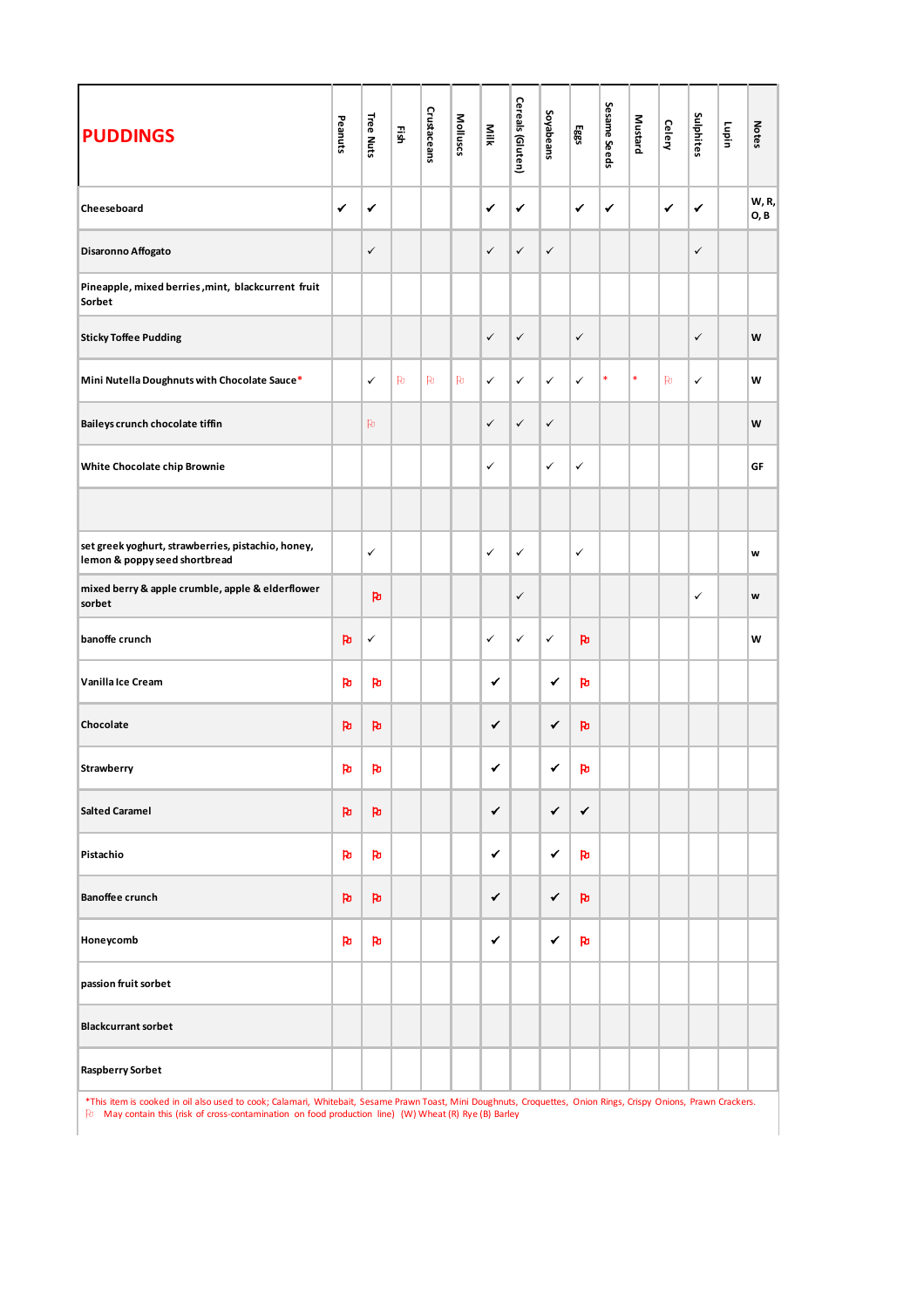| <b>PUDDINGS</b>                                                                                                                                | Peanuts      | Tree Nuts    | 픏   | Crustaceans | Molluscs | Nilk         | Cereals (Gluten) | Soyabeans    | Eggs         | Sesame Seeds | <b>Mustard</b> | Celery       | Sulphites    | lupin                 | <b>Notes</b>         |
|------------------------------------------------------------------------------------------------------------------------------------------------|--------------|--------------|-----|-------------|----------|--------------|------------------|--------------|--------------|--------------|----------------|--------------|--------------|-----------------------|----------------------|
| Cheeseboard                                                                                                                                    | $\checkmark$ | ✔            |     |             |          | $\checkmark$ | $\checkmark$     |              | $\checkmark$ | ✔            |                | $\checkmark$ | $\checkmark$ |                       | W, R,<br><b>O, B</b> |
| Disaronno Affogato                                                                                                                             |              | ✓            |     |             |          | $\checkmark$ | $\checkmark$     | $\checkmark$ |              |              |                |              | $\checkmark$ |                       |                      |
| Pineapple, mixed berries, mint, blackcurrent fruit<br>Sorbet                                                                                   |              |              |     |             |          |              |                  |              |              |              |                |              |              |                       |                      |
| <b>Sticky Toffee Pudding</b>                                                                                                                   |              |              |     |             |          | $\checkmark$ | $\checkmark$     |              | $\checkmark$ |              |                |              | $\checkmark$ |                       | W                    |
| Mini Nutella Doughnuts with Chocolate Sauce*                                                                                                   |              | ✓            | PO. | PO.         | PO.      | $\checkmark$ | ✓                | $\checkmark$ | $\checkmark$ | $\ast$       | $\ast$         | PO.          | $\checkmark$ |                       | W                    |
| Baileys crunch chocolate tiffin                                                                                                                |              | PO.          |     |             |          | $\checkmark$ | $\checkmark$     | $\checkmark$ |              |              |                |              |              |                       | W                    |
| White Chocolate chip Brownie                                                                                                                   |              |              |     |             |          | $\checkmark$ |                  | ✓            | $\checkmark$ |              |                |              |              |                       | GF                   |
|                                                                                                                                                |              |              |     |             |          |              |                  |              |              |              |                |              |              |                       |                      |
| set greek yoghurt, strawberries, pistachio, honey,<br>lemon & poppy seed shortbread                                                            |              | ✓            |     |             |          | $\checkmark$ | $\checkmark$     |              | $\checkmark$ |              |                |              |              |                       | W                    |
| mixed berry & apple crumble, apple & elderflower<br>sorbet                                                                                     |              | <b>P</b>     |     |             |          |              | $\checkmark$     |              |              |              |                |              | ✓            |                       | W                    |
| banoffe crunch                                                                                                                                 | <b>P</b>     | $\checkmark$ |     |             |          | $\checkmark$ | ✓                | $\checkmark$ | p            |              |                |              |              |                       | W                    |
| Vanilla Ice Cream                                                                                                                              | <b>P</b> u   | ħ            |     |             |          | ✔            |                  | $\checkmark$ | <b>Pu</b>    |              |                |              |              |                       |                      |
| Chocolate                                                                                                                                      | <b>P</b>     | <b>Pu</b>    |     |             |          | $\checkmark$ |                  | ✔            | p            |              |                |              |              |                       |                      |
| Strawberry                                                                                                                                     | Po           | Po           |     |             |          | ✔            |                  | ✔            | <b>P</b>     |              |                |              |              |                       |                      |
| <b>Salted Caramel</b>                                                                                                                          | <b>P</b>     | <b>Pu</b>    |     |             |          | $\checkmark$ |                  | ✔            | $\checkmark$ |              |                |              |              |                       |                      |
| Pistachio                                                                                                                                      | <b>P</b>     | <b>P</b>     |     |             |          | ✔            |                  | ✔            | <b>P</b>     |              |                |              |              |                       |                      |
| <b>Banoffee crunch</b>                                                                                                                         | <b>P</b>     | <b>P</b>     |     |             |          | $\checkmark$ |                  | ✔            | $\mathbf{p}$ |              |                |              |              |                       |                      |
| Honeycomb                                                                                                                                      | <b>P</b>     | Þ            |     |             |          | ✔            |                  | ✔            | <b>P</b>     |              |                |              |              |                       |                      |
| passion fruit sorbet                                                                                                                           |              |              |     |             |          |              |                  |              |              |              |                |              |              |                       |                      |
| <b>Blackcurrant sorbet</b>                                                                                                                     |              |              |     |             |          |              |                  |              |              |              |                |              |              |                       |                      |
| <b>Raspberry Sorbet</b>                                                                                                                        |              |              |     |             |          |              |                  |              |              |              |                |              |              |                       |                      |
| *This item is cooked in oil also used to cook: Calamari, Whitebait, Sesame Prawn Toast, Mini Doughnuts, Croquettes, Onion Rings, Crispy Onions |              |              |     |             |          |              |                  |              |              |              |                |              |              | <b>Prawn Crackers</b> |                      |

\*This item is cooked in oil also used to cook; Calamari, Whitebait, Sesame Prawn Toast, Mini Doughnuts, Croquettes, Onion Rings, Crispy Onions, Prawn Crackers.<br>和 May contain this (risk of cross-contamination on food prod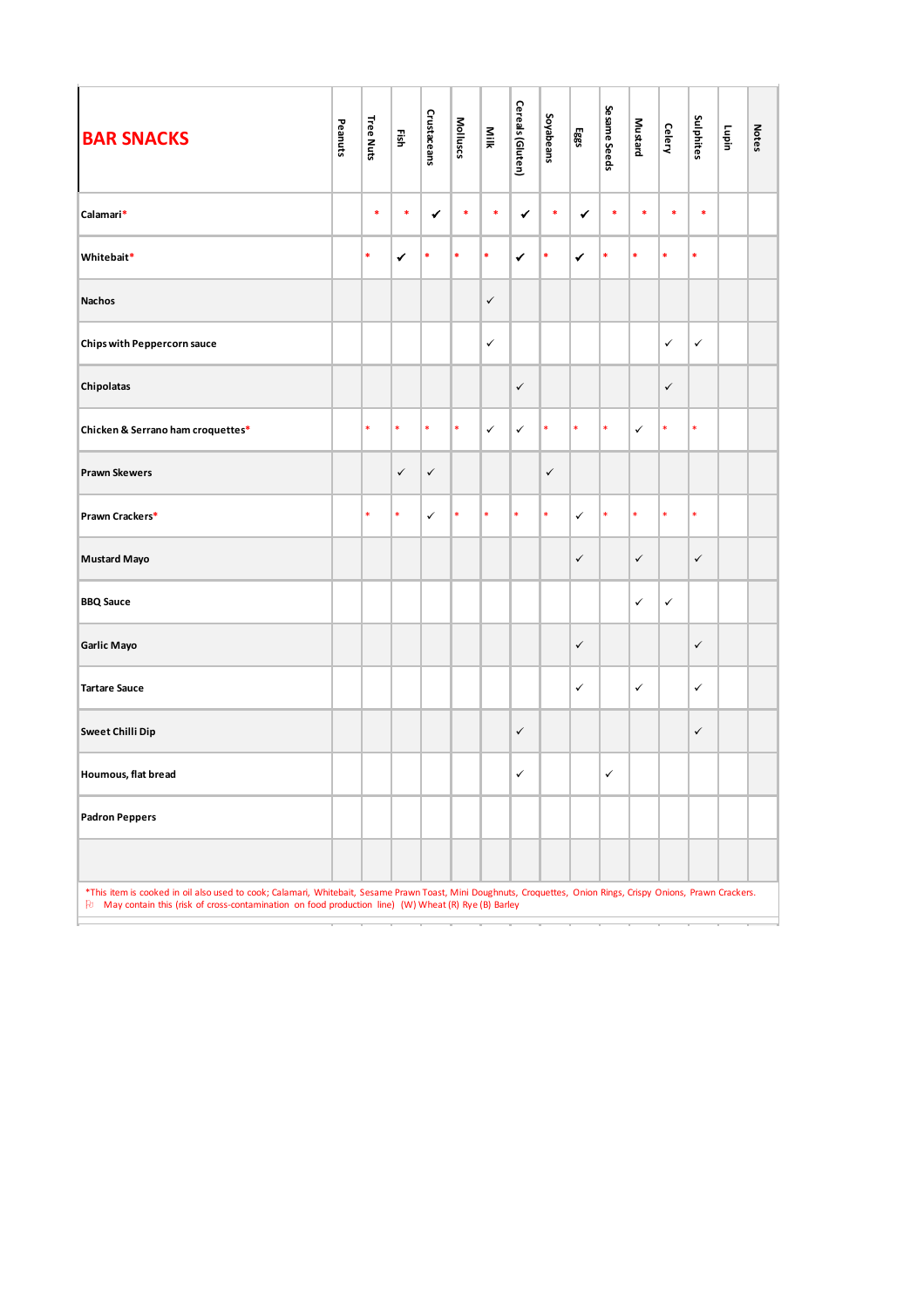| Peanuts | Tree Nuts | 쯽            | Crustaceans  | Molluscs | Milk         | Cereals (Gluten) | Soyabeans    | 585          | Sesame Seeds | Mustard      | <b>Celery</b> | Sulphites    | Lupin | <b>Notes</b> |
|---------|-----------|--------------|--------------|----------|--------------|------------------|--------------|--------------|--------------|--------------|---------------|--------------|-------|--------------|
|         | $\ast$    | $\ast$       | $\checkmark$ | *        | $\ast$       | ✔                | $\ast$       | ✔            | $\ast$       | $\ast$       | *             | $\ast$       |       |              |
|         | $\ast$    | ✔            | \$           | *        | \$           | ✔                | *            | ✔            | *            | $\ast$       | *             | *            |       |              |
|         |           |              |              |          | $\checkmark$ |                  |              |              |              |              |               |              |       |              |
|         |           |              |              |          | $\checkmark$ |                  |              |              |              |              | $\checkmark$  | $\checkmark$ |       |              |
|         |           |              |              |          |              | $\checkmark$     |              |              |              |              | $\checkmark$  |              |       |              |
|         | $\ast$    | $\ast$       | $\ast$       | $\ast$   | $\checkmark$ | $\checkmark$     | $\ast$       | $\ast$       | $\ast$       | $\checkmark$ | $\ast$        | $\ast$       |       |              |
|         |           | $\checkmark$ | $\checkmark$ |          |              |                  | $\checkmark$ |              |              |              |               |              |       |              |
|         | $\ast$    | $\ast$       | $\checkmark$ | $\ast$   | *.           | $\ast$           | *            | $\checkmark$ | $\ast$       | $\ast$       | $\ast$        | $\ast$       |       |              |
|         |           |              |              |          |              |                  |              | $\checkmark$ |              | $\checkmark$ |               | $\checkmark$ |       |              |
|         |           |              |              |          |              |                  |              |              |              | $\checkmark$ | $\checkmark$  |              |       |              |
|         |           |              |              |          |              |                  |              | $\checkmark$ |              |              |               | $\checkmark$ |       |              |
|         |           |              |              |          |              |                  |              | $\checkmark$ |              | $\checkmark$ |               | $\checkmark$ |       |              |
|         |           |              |              |          |              | $\checkmark$     |              |              |              |              |               | $\checkmark$ |       |              |
|         |           |              |              |          |              | $\checkmark$     |              |              | $\checkmark$ |              |               |              |       |              |
|         |           |              |              |          |              |                  |              |              |              |              |               |              |       |              |
|         |           |              |              |          |              |                  |              |              |              |              |               |              |       |              |
|         |           |              |              |          |              |                  |              |              |              |              |               |              |       |              |